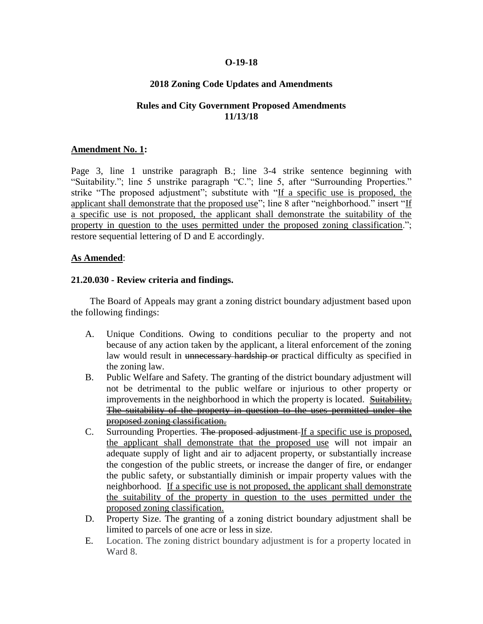#### **O-19-18**

## **2018 Zoning Code Updates and Amendments**

### **Rules and City Government Proposed Amendments 11/13/18**

#### **Amendment No. 1:**

Page 3, line 1 unstrike paragraph B.; line 3-4 strike sentence beginning with "Suitability."; line 5 unstrike paragraph "C."; line 5, after "Surrounding Properties." strike "The proposed adjustment"; substitute with "If a specific use is proposed, the applicant shall demonstrate that the proposed use"; line 8 after "neighborhood." insert "If a specific use is not proposed, the applicant shall demonstrate the suitability of the property in question to the uses permitted under the proposed zoning classification."; restore sequential lettering of D and E accordingly.

#### **As Amended**:

#### **21.20.030 - Review criteria and findings.**

The Board of Appeals may grant a zoning district boundary adjustment based upon the following findings:

- A. Unique Conditions. Owing to conditions peculiar to the property and not because of any action taken by the applicant, a literal enforcement of the zoning law would result in unnecessary hardship or practical difficulty as specified in the zoning law.
- B. Public Welfare and Safety. The granting of the district boundary adjustment will not be detrimental to the public welfare or injurious to other property or improvements in the neighborhood in which the property is located. Suitability. The suitability of the property in question to the uses permitted under the proposed zoning classification.
- C. Surrounding Properties. The proposed adjustment If a specific use is proposed, the applicant shall demonstrate that the proposed use will not impair an adequate supply of light and air to adjacent property, or substantially increase the congestion of the public streets, or increase the danger of fire, or endanger the public safety, or substantially diminish or impair property values with the neighborhood. If a specific use is not proposed, the applicant shall demonstrate the suitability of the property in question to the uses permitted under the proposed zoning classification.
- D. Property Size. The granting of a zoning district boundary adjustment shall be limited to parcels of one acre or less in size.
- E. Location. The zoning district boundary adjustment is for a property located in Ward 8.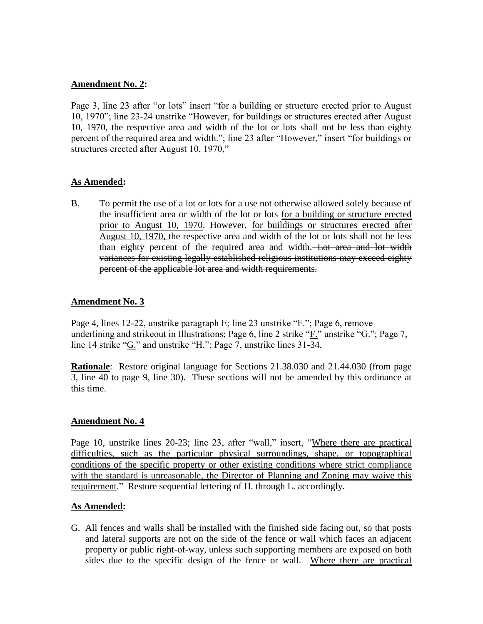### **Amendment No. 2:**

Page 3, line 23 after "or lots" insert "for a building or structure erected prior to August 10, 1970"; line 23-24 unstrike "However, for buildings or structures erected after August 10, 1970, the respective area and width of the lot or lots shall not be less than eighty percent of the required area and width."; line 23 after "However," insert "for buildings or structures erected after August 10, 1970,"

## **As Amended:**

B. To permit the use of a lot or lots for a use not otherwise allowed solely because of the insufficient area or width of the lot or lots for a building or structure erected prior to August 10, 1970. However, for buildings or structures erected after August 10, 1970, the respective area and width of the lot or lots shall not be less than eighty percent of the required area and width. Lot area and lot width variances for existing legally established religious institutions may exceed eighty percent of the applicable lot area and width requirements.

## **Amendment No. 3**

Page 4, lines 12-22, unstrike paragraph E; line 23 unstrike "F."; Page 6, remove underlining and strikeout in Illustrations; Page 6, line 2 strike "F." unstrike "G."; Page 7, line 14 strike "G" and unstrike "H"; Page 7, unstrike lines 31-34.

**Rationale**: Restore original language for Sections 21.38.030 and 21.44.030 (from page 3, line 40 to page 9, line 30). These sections will not be amended by this ordinance at this time.

### **Amendment No. 4**

Page 10, unstrike lines 20-23; line 23, after "wall," insert, "Where there are practical difficulties, such as the particular physical surroundings, shape, or topographical conditions of the specific property or other existing conditions where strict compliance with the standard is unreasonable, the Director of Planning and Zoning may waive this requirement." Restore sequential lettering of H. through L. accordingly.

## **As Amended:**

G. All fences and walls shall be installed with the finished side facing out, so that posts and lateral supports are not on the side of the fence or wall which faces an adjacent property or public right-of-way, unless such supporting members are exposed on both sides due to the specific design of the fence or wall. Where there are practical